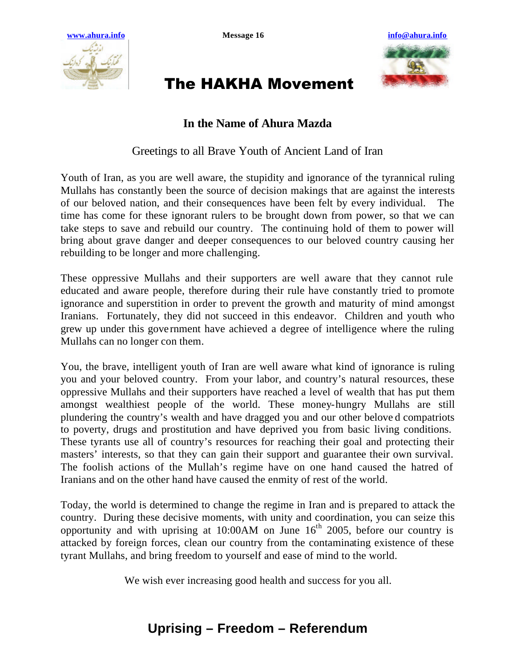



## The HAKHA Movement

## **In the Name of Ahura Mazda**

Greetings to all Brave Youth of Ancient Land of Iran

Youth of Iran, as you are well aware, the stupidity and ignorance of the tyrannical ruling Mullahs has constantly been the source of decision makings that are against the interests of our beloved nation, and their consequences have been felt by every individual. The time has come for these ignorant rulers to be brought down from power, so that we can take steps to save and rebuild our country. The continuing hold of them to power will bring about grave danger and deeper consequences to our beloved country causing her rebuilding to be longer and more challenging.

These oppressive Mullahs and their supporters are well aware that they cannot rule educated and aware people, therefore during their rule have constantly tried to promote ignorance and superstition in order to prevent the growth and maturity of mind amongst Iranians. Fortunately, they did not succeed in this endeavor. Children and youth who grew up under this gove rnment have achieved a degree of intelligence where the ruling Mullahs can no longer con them.

You, the brave, intelligent youth of Iran are well aware what kind of ignorance is ruling you and your beloved country. From your labor, and country's natural resources, these oppressive Mullahs and their supporters have reached a level of wealth that has put them amongst wealthiest people of the world. These money-hungry Mullahs are still plundering the country's wealth and have dragged you and our other belove d compatriots to poverty, drugs and prostitution and have deprived you from basic living conditions. These tyrants use all of country's resources for reaching their goal and protecting their masters' interests, so that they can gain their support and guarantee their own survival. The foolish actions of the Mullah's regime have on one hand caused the hatred of Iranians and on the other hand have caused the enmity of rest of the world.

Today, the world is determined to change the regime in Iran and is prepared to attack the country. During these decisive moments, with unity and coordination, you can seize this opportunity and with uprising at 10:00AM on June  $16<sup>th</sup>$  2005, before our country is attacked by foreign forces, clean our country from the contaminating existence of these tyrant Mullahs, and bring freedom to yourself and ease of mind to the world.

We wish ever increasing good health and success for you all.

## **Uprising – Freedom – Referendum**